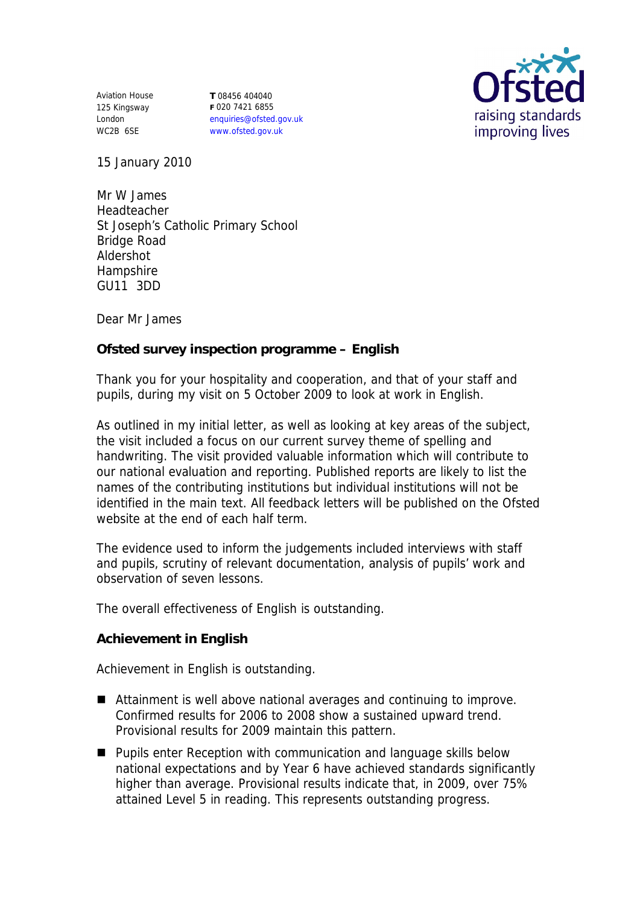Aviation House 125 Kingsway London WC2B 6SE

**T** 08456 404040 **F** 020 7421 6855 enquiries@ofsted.gov.uk www.ofsted.gov.uk



15 January 2010

Mr W James Headteacher St Joseph's Catholic Primary School Bridge Road Aldershot **Hampshire** GU11 3DD

Dear Mr James

**Ofsted survey inspection programme – English** 

Thank you for your hospitality and cooperation, and that of your staff and pupils, during my visit on 5 October 2009 to look at work in English.

As outlined in my initial letter, as well as looking at key areas of the subject, the visit included a focus on our current survey theme of spelling and handwriting. The visit provided valuable information which will contribute to our national evaluation and reporting. Published reports are likely to list the names of the contributing institutions but individual institutions will not be identified in the main text. All feedback letters will be published on the Ofsted website at the end of each half term.

The evidence used to inform the judgements included interviews with staff and pupils, scrutiny of relevant documentation, analysis of pupils' work and observation of seven lessons.

The overall effectiveness of English is outstanding.

**Achievement in English** 

Achievement in English is outstanding.

- Attainment is well above national averages and continuing to improve. Confirmed results for 2006 to 2008 show a sustained upward trend. Provisional results for 2009 maintain this pattern.
- **Pupils enter Reception with communication and language skills below** national expectations and by Year 6 have achieved standards significantly higher than average. Provisional results indicate that, in 2009, over 75% attained Level 5 in reading. This represents outstanding progress.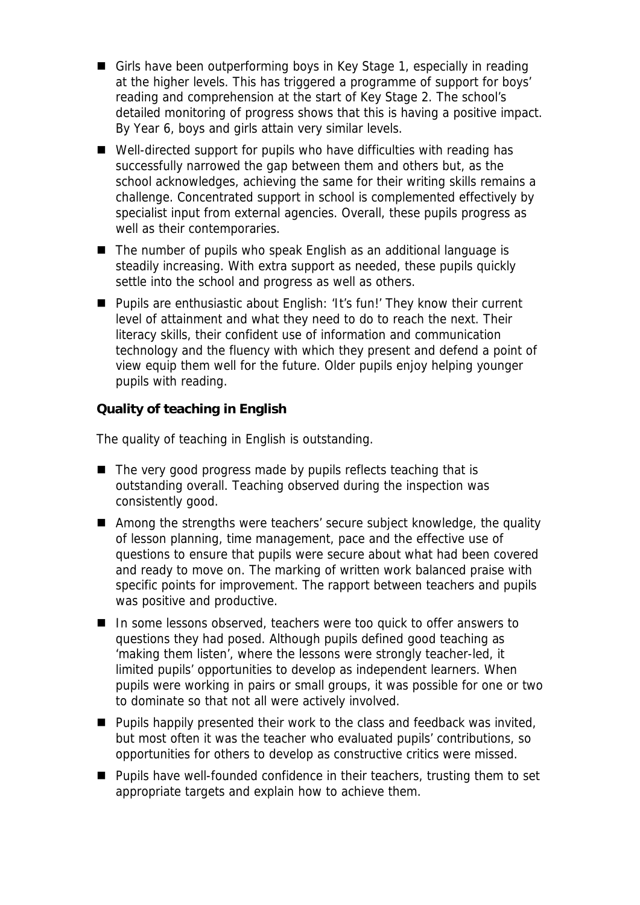- Girls have been outperforming boys in Key Stage 1, especially in reading at the higher levels. This has triggered a programme of support for boys' reading and comprehension at the start of Key Stage 2. The school's detailed monitoring of progress shows that this is having a positive impact. By Year 6, boys and girls attain very similar levels.
- Well-directed support for pupils who have difficulties with reading has successfully narrowed the gap between them and others but, as the school acknowledges, achieving the same for their writing skills remains a challenge. Concentrated support in school is complemented effectively by specialist input from external agencies. Overall, these pupils progress as well as their contemporaries.
- The number of pupils who speak English as an additional language is steadily increasing. With extra support as needed, these pupils quickly settle into the school and progress as well as others.
- Pupils are enthusiastic about English: 'It's fun!' They know their current level of attainment and what they need to do to reach the next. Their literacy skills, their confident use of information and communication technology and the fluency with which they present and defend a point of view equip them well for the future. Older pupils enjoy helping younger pupils with reading.

**Quality of teaching in English**

The quality of teaching in English is outstanding.

- The very good progress made by pupils reflects teaching that is outstanding overall. Teaching observed during the inspection was consistently good.
- Among the strengths were teachers' secure subject knowledge, the quality of lesson planning, time management, pace and the effective use of questions to ensure that pupils were secure about what had been covered and ready to move on. The marking of written work balanced praise with specific points for improvement. The rapport between teachers and pupils was positive and productive.
- In some lessons observed, teachers were too quick to offer answers to questions they had posed. Although pupils defined good teaching as 'making them listen', where the lessons were strongly teacher-led, it limited pupils' opportunities to develop as independent learners. When pupils were working in pairs or small groups, it was possible for one or two to dominate so that not all were actively involved.
- $\blacksquare$  Pupils happily presented their work to the class and feedback was invited, but most often it was the teacher who evaluated pupils' contributions, so opportunities for others to develop as constructive critics were missed.
- Pupils have well-founded confidence in their teachers, trusting them to set appropriate targets and explain how to achieve them.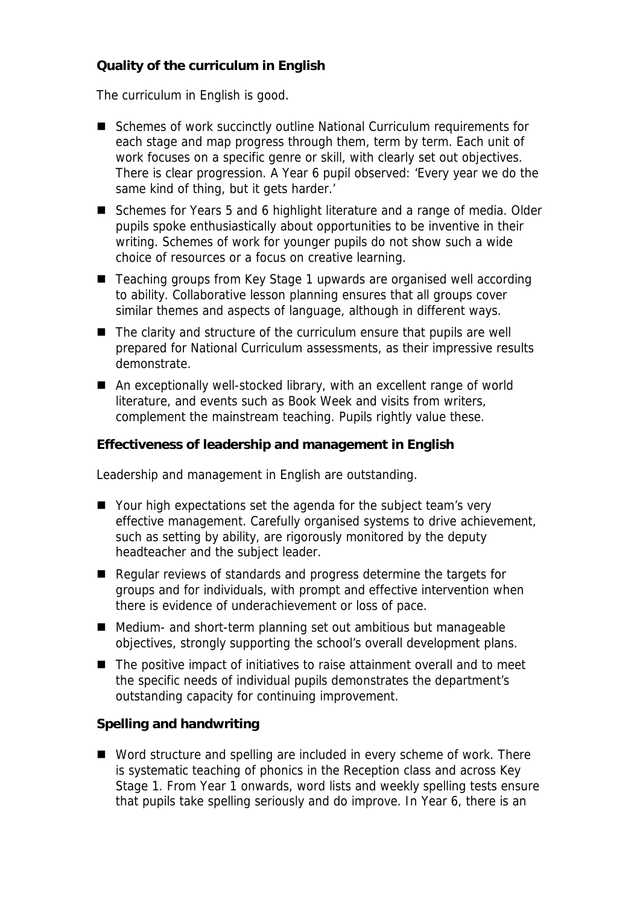## **Quality of the curriculum in English**

The curriculum in English is good.

- Schemes of work succinctly outline National Curriculum requirements for each stage and map progress through them, term by term. Each unit of work focuses on a specific genre or skill, with clearly set out objectives. There is clear progression. A Year 6 pupil observed: 'Every year we do the same kind of thing, but it gets harder.'
- Schemes for Years 5 and 6 highlight literature and a range of media. Older pupils spoke enthusiastically about opportunities to be inventive in their writing. Schemes of work for younger pupils do not show such a wide choice of resources or a focus on creative learning.
- Teaching groups from Key Stage 1 upwards are organised well according to ability. Collaborative lesson planning ensures that all groups cover similar themes and aspects of language, although in different ways.
- The clarity and structure of the curriculum ensure that pupils are well prepared for National Curriculum assessments, as their impressive results demonstrate.
- An exceptionally well-stocked library, with an excellent range of world literature, and events such as Book Week and visits from writers, complement the mainstream teaching. Pupils rightly value these.

**Effectiveness of leadership and management in English**

Leadership and management in English are outstanding.

- Your high expectations set the agenda for the subject team's very effective management. Carefully organised systems to drive achievement, such as setting by ability, are rigorously monitored by the deputy headteacher and the subject leader.
- Regular reviews of standards and progress determine the targets for groups and for individuals, with prompt and effective intervention when there is evidence of underachievement or loss of pace.
- Medium- and short-term planning set out ambitious but manageable objectives, strongly supporting the school's overall development plans.
- The positive impact of initiatives to raise attainment overall and to meet the specific needs of individual pupils demonstrates the department's outstanding capacity for continuing improvement.

**Spelling and handwriting** 

■ Word structure and spelling are included in every scheme of work. There is systematic teaching of phonics in the Reception class and across Key Stage 1. From Year 1 onwards, word lists and weekly spelling tests ensure that pupils take spelling seriously and do improve. In Year 6, there is an